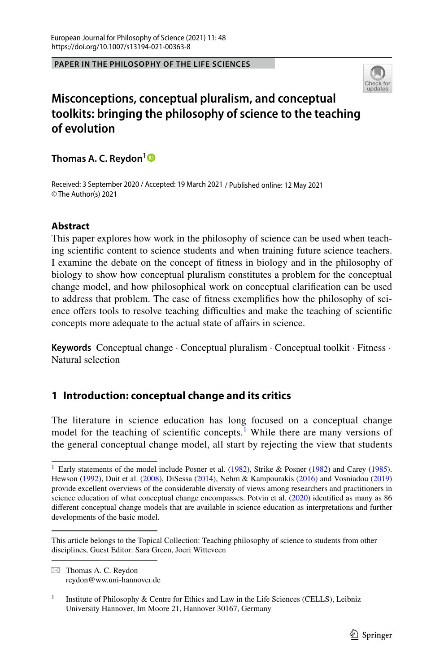#### **PAPER IN THE PHILOSOPHY OF THE LIFE SCIENCES**



# **Misconceptions, conceptual pluralism, and conceptual toolkits: bringing the philosophy of science to the teaching of evolution**

**Thomas A. C. Reydon[1](http://orcid.org/0000-0002-1804-0532)**

Received: 3 September 2020 / Accepted: 19 March 2021 / Published online: 12 May 2021 © The Author(s) 2021

## **Abstract**

This paper explores how work in the philosophy of science can be used when teaching scientifc content to science students and when training future science teachers. I examine the debate on the concept of ftness in biology and in the philosophy of biology to show how conceptual pluralism constitutes a problem for the conceptual change model, and how philosophical work on conceptual clarifcation can be used to address that problem. The case of ftness exemplifes how the philosophy of science offers tools to resolve teaching difficulties and make the teaching of scientific concepts more adequate to the actual state of affairs in science.

**Keywords** Conceptual change · Conceptual pluralism · Conceptual toolkit · Fitness · Natural selection

## <span id="page-0-1"></span>**1 Introduction: conceptual change and its critics**

The literature in science education has long focused on a conceptual change model for the teaching of scientific concepts.<sup>[1](#page-0-0)</sup> While there are many versions of the general conceptual change model, all start by rejecting the view that students

<span id="page-0-0"></span><sup>&</sup>lt;sup>1</sup> Early statements of the model include Posner et al. ([1982\)](#page-22-0), Strike & Posner (1982) and Carey ([1985\)](#page-19-0). Hewson ([1992\)](#page-20-0), Duit et al. ([2008\)](#page-20-1), DiSessa [\(2014](#page-20-2)), Nehm & Kampourakis [\(2016](#page-21-1)) and Vosniadou ([2019\)](#page-22-1) provide excellent overviews of the considerable diversity of views among researchers and practitioners in science education of what conceptual change encompasses. Potvin et al. ([2020\)](#page-21-2) identified as many as 86 diferent conceptual change models that are available in science education as interpretations and further developments of the basic model.

This article belongs to the Topical Collection: Teaching philosophy of science to students from other disciplines, Guest Editor: Sara Green, Joeri Witteveen

 $\boxtimes$  Thomas A. C. Reydon reydon@ww.uni-hannover.de

<sup>&</sup>lt;sup>1</sup> Institute of Philosophy & Centre for Ethics and Law in the Life Sciences (CELLS), Leibniz University Hannover, Im Moore 21, Hannover 30167, Germany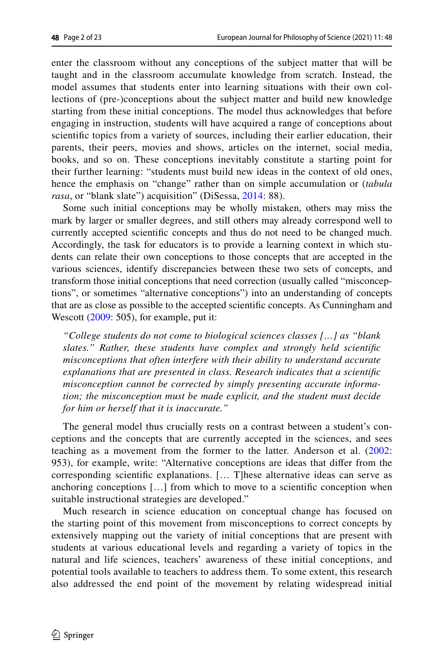enter the classroom without any conceptions of the subject matter that will be taught and in the classroom accumulate knowledge from scratch. Instead, the model assumes that students enter into learning situations with their own collections of (pre-)conceptions about the subject matter and build new knowledge starting from these initial conceptions. The model thus acknowledges that before engaging in instruction, students will have acquired a range of conceptions about scientifc topics from a variety of sources, including their earlier education, their parents, their peers, movies and shows, articles on the internet, social media, books, and so on. These conceptions inevitably constitute a starting point for their further learning: "students must build new ideas in the context of old ones, hence the emphasis on "change" rather than on simple accumulation or (*tabula rasa*, or "blank slate") acquisition" (DiSessa, [2014:](#page-20-2) 88).

Some such initial conceptions may be wholly mistaken, others may miss the mark by larger or smaller degrees, and still others may already correspond well to currently accepted scientifc concepts and thus do not need to be changed much. Accordingly, the task for educators is to provide a learning context in which students can relate their own conceptions to those concepts that are accepted in the various sciences, identify discrepancies between these two sets of concepts, and transform those initial conceptions that need correction (usually called "misconceptions", or sometimes "alternative conceptions") into an understanding of concepts that are as close as possible to the accepted scientifc concepts. As Cunningham and Wescott [\(2009](#page-19-1): 505), for example, put it:

*"College students do not come to biological sciences classes […] as "blank slates." Rather, these students have complex and strongly held scientifc misconceptions that often interfere with their ability to understand accurate explanations that are presented in class. Research indicates that a scientifc misconception cannot be corrected by simply presenting accurate information; the misconception must be made explicit, and the student must decide for him or herself that it is inaccurate."*

The general model thus crucially rests on a contrast between a student's conceptions and the concepts that are currently accepted in the sciences, and sees teaching as a movement from the former to the latter. Anderson et al. ([2002:](#page-19-2) 953), for example, write: "Alternative conceptions are ideas that difer from the corresponding scientifc explanations. [… T]hese alternative ideas can serve as anchoring conceptions […] from which to move to a scientifc conception when suitable instructional strategies are developed."

Much research in science education on conceptual change has focused on the starting point of this movement from misconceptions to correct concepts by extensively mapping out the variety of initial conceptions that are present with students at various educational levels and regarding a variety of topics in the natural and life sciences, teachers' awareness of these initial conceptions, and potential tools available to teachers to address them. To some extent, this research also addressed the end point of the movement by relating widespread initial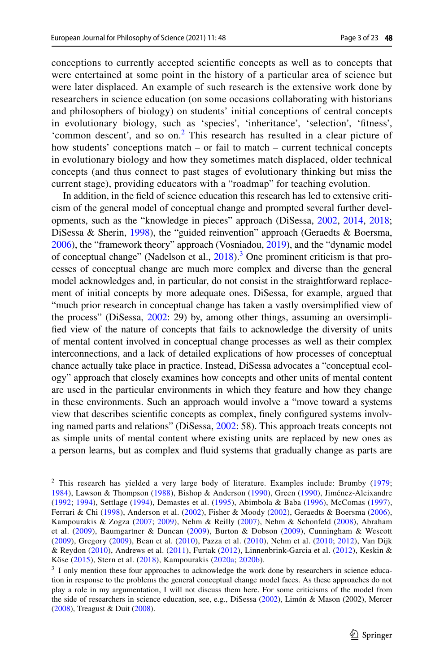conceptions to currently accepted scientifc concepts as well as to concepts that were entertained at some point in the history of a particular area of science but were later displaced. An example of such research is the extensive work done by researchers in science education (on some occasions collaborating with historians and philosophers of biology) on students' initial conceptions of central concepts in evolutionary biology, such as 'species', 'inheritance', 'selection', 'ftness', 'common descent', and so on.<sup>[2](#page-2-0)</sup> This research has resulted in a clear picture of how students' conceptions match – or fail to match – current technical concepts in evolutionary biology and how they sometimes match displaced, older technical concepts (and thus connect to past stages of evolutionary thinking but miss the current stage), providing educators with a "roadmap" for teaching evolution.

In addition, in the feld of science education this research has led to extensive criticism of the general model of conceptual change and prompted several further developments, such as the "knowledge in pieces" approach (DiSessa, [2002](#page-20-3), [2014,](#page-20-2) [2018;](#page-20-4) DiSessa & Sherin, [1998](#page-20-5)), the "guided reinvention" approach (Geraedts & Boersma, [2006\)](#page-20-6), the "framework theory" approach (Vosniadou, [2019\)](#page-22-1), and the "dynamic model of conceptual change" (Nadelson et al., [2018](#page-21-3)).<sup>3</sup> One prominent criticism is that processes of conceptual change are much more complex and diverse than the general model acknowledges and, in particular, do not consist in the straightforward replacement of initial concepts by more adequate ones. DiSessa, for example, argued that "much prior research in conceptual change has taken a vastly oversimplifed view of the process" (DiSessa, [2002:](#page-20-3) 29) by, among other things, assuming an oversimplifed view of the nature of concepts that fails to acknowledge the diversity of units of mental content involved in conceptual change processes as well as their complex interconnections, and a lack of detailed explications of how processes of conceptual chance actually take place in practice. Instead, DiSessa advocates a "conceptual ecology" approach that closely examines how concepts and other units of mental content are used in the particular environments in which they feature and how they change in these environments. Such an approach would involve a "move toward a systems view that describes scientifc concepts as complex, fnely confgured systems involving named parts and relations" (DiSessa, [2002:](#page-20-3) 58). This approach treats concepts not as simple units of mental content where existing units are replaced by new ones as a person learns, but as complex and fuid systems that gradually change as parts are

<span id="page-2-0"></span><sup>&</sup>lt;sup>2</sup> This research has yielded a very large body of literature. Examples include: Brumby [\(1979](#page-19-3); [1984\)](#page-19-4), Lawson & Thompson [\(1988\)](#page-21-4), Bishop & Anderson [\(1990](#page-19-5)), Green ([1990](#page-20-7)), Jiménez-Aleixandre ([1992](#page-20-3); [1994\)](#page-20-2), Settlage ([1994](#page-22-2)), Demastes et al. ([1995](#page-19-6)), Abimbola & Baba [\(1996](#page-19-7)), McComas ([1997\)](#page-21-5), Ferrari & Chi [\(1998](#page-20-8)), Anderson et al. ([2002](#page-19-2)), Fisher & Moody ([2002](#page-20-9)), Geraedts & Boersma ([2006\)](#page-20-6), Kampourakis & Zogza ([2007;](#page-20-10) [2009](#page-20-11)), Nehm & Reilly ([2007\)](#page-21-6), Nehm & Schonfeld [\(2008](#page-21-7)), Abraham et al. ([2009](#page-19-8)), Baumgartner & Duncan ([2009\)](#page-19-9), Burton & Dobson ([2009\)](#page-19-10), Cunningham & Wescott ([2009](#page-19-1)), Gregory ([2009\)](#page-20-12), Bean et al. ([2010](#page-19-11)), Pazza et al. [\(2010\)](#page-21-8), Nehm et al. ([2010](#page-21-9); [2012\)](#page-21-10), Van Dijk & Reydon [\(2010\)](#page-22-3), Andrews et al. ([2011](#page-19-12)), Furtak ([2012](#page-21-11)), Linnenbrink-Garcia et al. (2012), Keskin & Köse ([2015\)](#page-20-14), Stern et al. ([2018\)](#page-22-4), Kampourakis ([2020a](#page-20-15); [2020b](#page-20-16)).

<span id="page-2-1"></span><sup>&</sup>lt;sup>3</sup> I only mention these four approaches to acknowledge the work done by researchers in science education in response to the problems the general conceptual change model faces. As these approaches do not play a role in my argumentation, I will not discuss them here. For some criticisms of the model from the side of researchers in science education, see, e.g., DiSessa [\(2002](#page-20-3)), Limón & Mason (2002), Mercer ([2008\)](#page-21-12), Treagust & Duit [\(2008](#page-22-5)).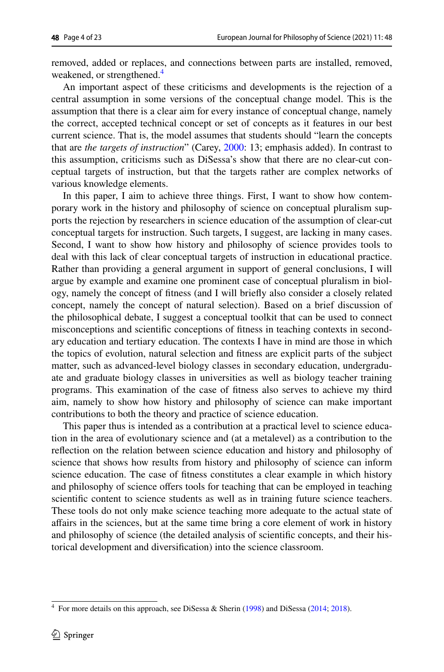removed, added or replaces, and connections between parts are installed, removed, weakened, or strengthened.<sup>[4](#page-3-0)</sup>

An important aspect of these criticisms and developments is the rejection of a central assumption in some versions of the conceptual change model. This is the assumption that there is a clear aim for every instance of conceptual change, namely the correct, accepted technical concept or set of concepts as it features in our best current science. That is, the model assumes that students should "learn the concepts that are *the targets of instruction*" (Carey, [2000:](#page-19-13) 13; emphasis added). In contrast to this assumption, criticisms such as DiSessa's show that there are no clear-cut conceptual targets of instruction, but that the targets rather are complex networks of various knowledge elements.

In this paper, I aim to achieve three things. First, I want to show how contemporary work in the history and philosophy of science on conceptual pluralism supports the rejection by researchers in science education of the assumption of clear-cut conceptual targets for instruction. Such targets, I suggest, are lacking in many cases. Second, I want to show how history and philosophy of science provides tools to deal with this lack of clear conceptual targets of instruction in educational practice. Rather than providing a general argument in support of general conclusions, I will argue by example and examine one prominent case of conceptual pluralism in biology, namely the concept of ftness (and I will briefy also consider a closely related concept, namely the concept of natural selection). Based on a brief discussion of the philosophical debate, I suggest a conceptual toolkit that can be used to connect misconceptions and scientifc conceptions of ftness in teaching contexts in secondary education and tertiary education. The contexts I have in mind are those in which the topics of evolution, natural selection and ftness are explicit parts of the subject matter, such as advanced-level biology classes in secondary education, undergraduate and graduate biology classes in universities as well as biology teacher training programs. This examination of the case of ftness also serves to achieve my third aim, namely to show how history and philosophy of science can make important contributions to both the theory and practice of science education.

This paper thus is intended as a contribution at a practical level to science education in the area of evolutionary science and (at a metalevel) as a contribution to the refection on the relation between science education and history and philosophy of science that shows how results from history and philosophy of science can inform science education. The case of ftness constitutes a clear example in which history and philosophy of science ofers tools for teaching that can be employed in teaching scientifc content to science students as well as in training future science teachers. These tools do not only make science teaching more adequate to the actual state of afairs in the sciences, but at the same time bring a core element of work in history and philosophy of science (the detailed analysis of scientifc concepts, and their historical development and diversifcation) into the science classroom.

<span id="page-3-0"></span><sup>&</sup>lt;sup>4</sup> For more details on this approach, see DiSessa & Sherin ([1998\)](#page-20-5) and DiSessa ([2014;](#page-20-2) [2018\)](#page-20-4).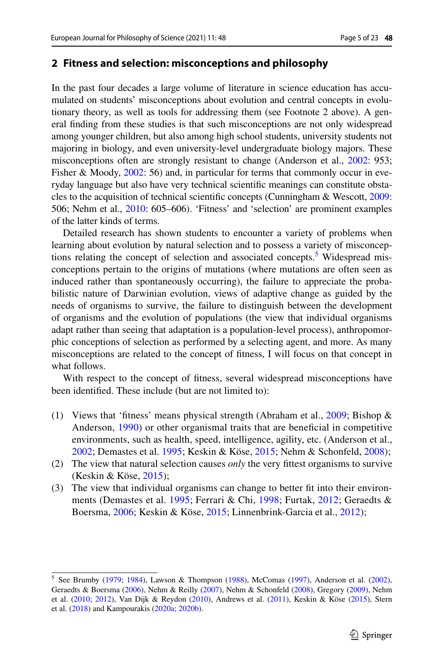### <span id="page-4-1"></span>**2 Fitness and selection: misconceptions and philosophy**

In the past four decades a large volume of literature in science education has accumulated on students' misconceptions about evolution and central concepts in evolutionary theory, as well as tools for addressing them (see Footnote 2 above). A general fnding from these studies is that such misconceptions are not only widespread among younger children, but also among high school students, university students not majoring in biology, and even university-level undergraduate biology majors. These misconceptions often are strongly resistant to change (Anderson et al., [2002](#page-19-2): 953; Fisher & Moody, [2002](#page-20-9): 56) and, in particular for terms that commonly occur in everyday language but also have very technical scientifc meanings can constitute obstacles to the acquisition of technical scientifc concepts (Cunningham & Wescott, [2009:](#page-19-1) 506; Nehm et al., [2010](#page-21-9): 605–606). 'Fitness' and 'selection' are prominent examples of the latter kinds of terms.

Detailed research has shown students to encounter a variety of problems when learning about evolution by natural selection and to possess a variety of misconcep-tions relating the concept of selection and associated concepts.<sup>[5](#page-4-0)</sup> Widespread misconceptions pertain to the origins of mutations (where mutations are often seen as induced rather than spontaneously occurring), the failure to appreciate the probabilistic nature of Darwinian evolution, views of adaptive change as guided by the needs of organisms to survive, the failure to distinguish between the development of organisms and the evolution of populations (the view that individual organisms adapt rather than seeing that adaptation is a population-level process), anthropomorphic conceptions of selection as performed by a selecting agent, and more. As many misconceptions are related to the concept of ftness, I will focus on that concept in what follows.

With respect to the concept of ftness, several widespread misconceptions have been identifed. These include (but are not limited to):

- (1) Views that 'ftness' means physical strength (Abraham et al., [2009](#page-19-8); Bishop & Anderson, [1990](#page-19-5)) or other organismal traits that are benefcial in competitive environments, such as health, speed, intelligence, agility, etc. (Anderson et al., [2002](#page-19-2); Demastes et al. [1995](#page-19-6); Keskin & Köse, [2015;](#page-20-14) Nehm & Schonfeld, [2008\)](#page-21-7);
- (2) The view that natural selection causes *only* the very fttest organisms to survive (Keskin & Köse, [2015\)](#page-20-14);
- (3) The view that individual organisms can change to better ft into their environments (Demastes et al. [1995](#page-19-6); Ferrari & Chi, [1998;](#page-20-8) Furtak, [2012;](#page-20-13) Geraedts & Boersma, [2006](#page-20-6); Keskin & Köse, [2015;](#page-20-14) Linnenbrink-Garcia et al., [2012\)](#page-21-11);

<span id="page-4-0"></span> $5$  See Brumby [\(1979](#page-19-3); [1984](#page-19-4)), Lawson & Thompson ([1988\)](#page-21-4), McComas ([1997\)](#page-21-5), Anderson et al. ([2002\)](#page-19-2), Geraedts & Boersma ([2006\)](#page-20-6), Nehm & Reilly [\(2007](#page-21-6)), Nehm & Schonfeld [\(2008](#page-21-7)), Gregory ([2009\)](#page-20-12), Nehm et al. [\(2010](#page-21-9); [2012](#page-21-10)), Van Dijk & Reydon [\(2010](#page-22-3)), Andrews et al. [\(2011](#page-19-12)), Keskin & Köse ([2015\)](#page-20-14), Stern et al. [\(2018](#page-22-4)) and Kampourakis [\(2020a;](#page-20-15) [2020b\)](#page-20-16).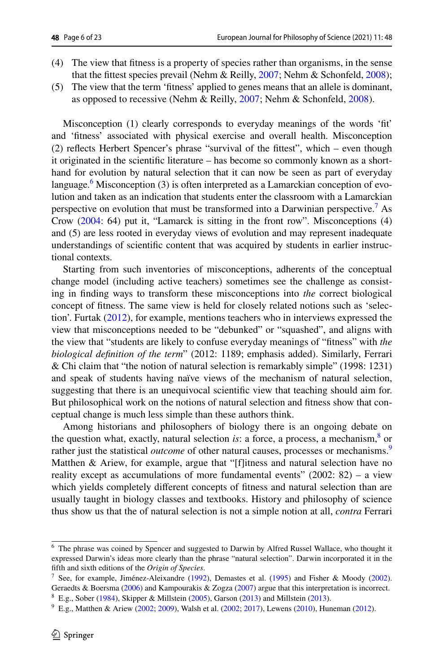- (4) The view that ftness is a property of species rather than organisms, in the sense that the fttest species prevail (Nehm & Reilly, [2007](#page-21-6); Nehm & Schonfeld, [2008](#page-21-7));
- (5) The view that the term 'ftness' applied to genes means that an allele is dominant, as opposed to recessive (Nehm & Reilly, [2007](#page-21-6); Nehm & Schonfeld, [2008](#page-21-7)).

Misconception (1) clearly corresponds to everyday meanings of the words 'ft' and 'ftness' associated with physical exercise and overall health. Misconception (2) refects Herbert Spencer's phrase "survival of the fttest", which – even though it originated in the scientifc literature – has become so commonly known as a shorthand for evolution by natural selection that it can now be seen as part of everyday language.<sup>6</sup> Misconception (3) is often interpreted as a Lamarckian conception of evolution and taken as an indication that students enter the classroom with a Lamarckian perspective on evolution that must be transformed into a Darwinian perspective.<sup>[7](#page-5-1)</sup> As Crow ([2004:](#page-19-14) 64) put it, "Lamarck is sitting in the front row". Misconceptions (4) and (5) are less rooted in everyday views of evolution and may represent inadequate understandings of scientifc content that was acquired by students in earlier instructional contexts.

Starting from such inventories of misconceptions, adherents of the conceptual change model (including active teachers) sometimes see the challenge as consisting in fnding ways to transform these misconceptions into *the* correct biological concept of ftness. The same view is held for closely related notions such as 'selection'. Furtak ([2012\)](#page-20-13), for example, mentions teachers who in interviews expressed the view that misconceptions needed to be "debunked" or "squashed", and aligns with the view that "students are likely to confuse everyday meanings of "ftness" with *the biological defnition of the term*" (2012: 1189; emphasis added). Similarly, Ferrari & Chi claim that "the notion of natural selection is remarkably simple" (1998: 1231) and speak of students having naïve views of the mechanism of natural selection, suggesting that there is an unequivocal scientifc view that teaching should aim for. But philosophical work on the notions of natural selection and ftness show that conceptual change is much less simple than these authors think.

Among historians and philosophers of biology there is an ongoing debate on the question what, exactly, natural selection *is*: a force, a process, a mechanism,<sup>[8](#page-5-2)</sup> or rather just the statistical *outcome* of other natural causes, processes or mechanisms.<sup>[9](#page-5-3)</sup> Matthen & Ariew, for example, argue that "[f]itness and natural selection have no reality except as accumulations of more fundamental events"  $(2002: 82)$  – a view which yields completely different concepts of fitness and natural selection than are usually taught in biology classes and textbooks. History and philosophy of science thus show us that the of natural selection is not a simple notion at all, *contra* Ferrari

<span id="page-5-0"></span><sup>6</sup> The phrase was coined by Spencer and suggested to Darwin by Alfred Russel Wallace, who thought it expressed Darwin's ideas more clearly than the phrase "natural selection". Darwin incorporated it in the ffth and sixth editions of the *Origin of Species*.

<span id="page-5-1"></span> $8$  E.g., Sober [\(1984](#page-22-6)), Skipper & Millstein [\(2005](#page-22-7)), Garson ([2013\)](#page-20-17) and Millstein [\(2013](#page-21-13)). <sup>7</sup> See, for example, Jiménez-Aleixandre ([1992\)](#page-20-19), Demastes et al. [\(1995](#page-19-6)) and Fisher & Moody ([2002\)](#page-20-9). Geraedts & Boersma ([2006\)](#page-20-6) and Kampourakis & Zogza ([2007\)](#page-20-10) argue that this interpretation is incorrect.

<span id="page-5-3"></span><span id="page-5-2"></span><sup>&</sup>lt;sup>9</sup> E.g., Matthen & Ariew [\(2002](#page-22-8); [2009\)](#page-21-15), Walsh et al. (2002; [2017\)](#page-22-9), Lewens [\(2010](#page-21-16)), Huneman ([2012\)](#page-20-18).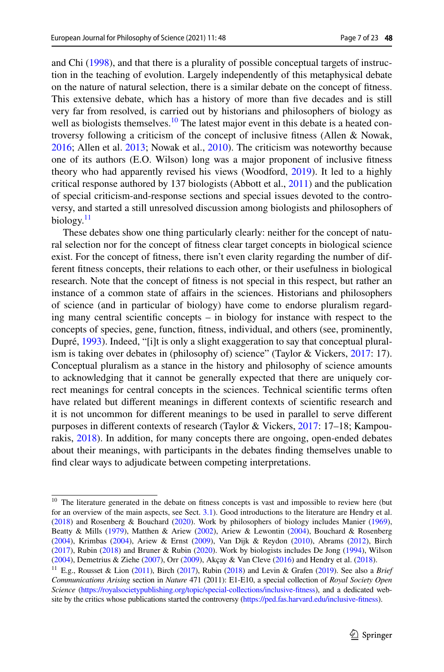and Chi [\(1998](#page-20-8)), and that there is a plurality of possible conceptual targets of instruction in the teaching of evolution. Largely independently of this metaphysical debate on the nature of natural selection, there is a similar debate on the concept of ftness. This extensive debate, which has a history of more than five decades and is still very far from resolved, is carried out by historians and philosophers of biology as well as biologists themselves.<sup>10</sup> The latest major event in this debate is a heated controversy following a criticism of the concept of inclusive ftness (Allen & Nowak, [2016](#page-19-15); Allen et al. [2013](#page-19-16); Nowak et al., [2010\)](#page-21-17). The criticism was noteworthy because one of its authors (E.O. Wilson) long was a major proponent of inclusive ftness theory who had apparently revised his views (Woodford, [2019\)](#page-22-10). It led to a highly critical response authored by 137 biologists (Abbott et al., [2011\)](#page-19-17) and the publication of special criticism-and-response sections and special issues devoted to the controversy, and started a still unresolved discussion among biologists and philosophers of biology. $\frac{11}{2}$ 

These debates show one thing particularly clearly: neither for the concept of natural selection nor for the concept of ftness clear target concepts in biological science exist. For the concept of ftness, there isn't even clarity regarding the number of different ftness concepts, their relations to each other, or their usefulness in biological research. Note that the concept of ftness is not special in this respect, but rather an instance of a common state of afairs in the sciences. Historians and philosophers of science (and in particular of biology) have come to endorse pluralism regarding many central scientifc concepts – in biology for instance with respect to the concepts of species, gene, function, ftness, individual, and others (see, prominently, Dupré, [1993\)](#page-20-20). Indeed, "[i]t is only a slight exaggeration to say that conceptual pluralism is taking over debates in (philosophy of) science" (Taylor & Vickers, [2017](#page-22-11): 17). Conceptual pluralism as a stance in the history and philosophy of science amounts to acknowledging that it cannot be generally expected that there are uniquely correct meanings for central concepts in the sciences. Technical scientifc terms often have related but diferent meanings in diferent contexts of scientifc research and it is not uncommon for diferent meanings to be used in parallel to serve diferent purposes in diferent contexts of research (Taylor & Vickers, [2017](#page-22-11): 17–18; Kampourakis, [2018\)](#page-20-21). In addition, for many concepts there are ongoing, open-ended debates about their meanings, with participants in the debates fnding themselves unable to fnd clear ways to adjudicate between competing interpretations.

<span id="page-6-0"></span><sup>&</sup>lt;sup>10</sup> The literature generated in the debate on fitness concepts is vast and impossible to review here (but for an overview of the main aspects, see Sect. [3.1](#page-7-0)). Good introductions to the literature are Hendry et al. ([2018\)](#page-20-22) and Rosenberg & Bouchard ([2020\)](#page-22-12). Work by philosophers of biology includes Manier ([1969\)](#page-21-18), Beatty & Mills ([1979\)](#page-19-18), Matthen & Ariew [\(2002](#page-21-14)), Ariew & Lewontin [\(2004](#page-19-19)), Bouchard & Rosenberg ([2004\)](#page-19-20), Krimbas ([2004\)](#page-21-19), Ariew & Ernst [\(2009](#page-19-21)), Van Dijk & Reydon ([2010\)](#page-22-3), Abrams ([2012\)](#page-19-22), Birch ([2017\)](#page-19-23), Rubin [\(2018](#page-22-13)) and Bruner & Rubin [\(2020](#page-19-24)). Work by biologists includes De Jong [\(1994](#page-19-25)), Wilson ([2004\)](#page-22-14), Demetrius & Ziehe ([2007\)](#page-19-26), Orr ([2009\)](#page-21-20), Akçay & Van Cleve ([2016\)](#page-19-27) and Hendry et al. [\(2018](#page-20-22)).

<span id="page-6-1"></span><sup>11</sup> E.g., Rousset & Lion [\(2011](#page-22-15)), Birch ([2017](#page-19-23)), Rubin ([2018](#page-22-13)) and Levin & Grafen [\(2019\)](#page-21-21). See also a *Brief Communications Arising* section in *Nature* 471 (2011): E1-E10, a special collection of *Royal Society Open Science* [\(https://royalsocietypublishing.org/topic/special-collections/inclusive-ftness](https://royalsocietypublishing.org/topic/special-collections/inclusive-fitness)), and a dedicated website by the critics whose publications started the controversy ([https://ped.fas.harvard.edu/inclusive-ftness](https://ped.fas.harvard.edu/inclusive-fitness)).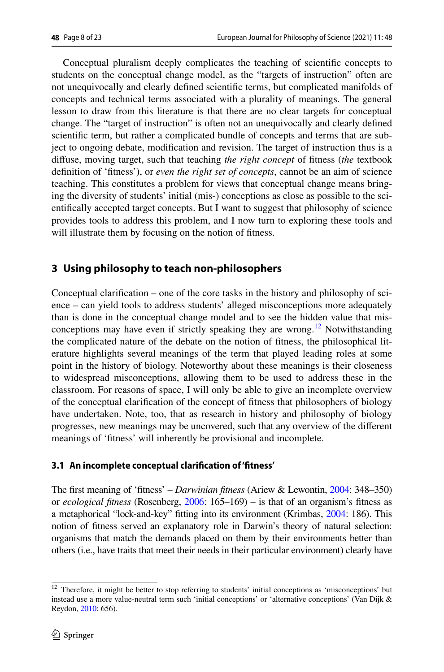Conceptual pluralism deeply complicates the teaching of scientifc concepts to students on the conceptual change model, as the "targets of instruction" often are not unequivocally and clearly defned scientifc terms, but complicated manifolds of concepts and technical terms associated with a plurality of meanings. The general lesson to draw from this literature is that there are no clear targets for conceptual change. The "target of instruction" is often not an unequivocally and clearly defned scientifc term, but rather a complicated bundle of concepts and terms that are subject to ongoing debate, modifcation and revision. The target of instruction thus is a difuse, moving target, such that teaching *the right concept* of ftness (*the* textbook defnition of 'ftness'), or *even the right set of concepts*, cannot be an aim of science teaching. This constitutes a problem for views that conceptual change means bringing the diversity of students' initial (mis-) conceptions as close as possible to the scientifcally accepted target concepts. But I want to suggest that philosophy of science provides tools to address this problem, and I now turn to exploring these tools and will illustrate them by focusing on the notion of fitness.

## **3 Using philosophy to teach non‑philosophers**

Conceptual clarifcation – one of the core tasks in the history and philosophy of science – can yield tools to address students' alleged misconceptions more adequately than is done in the conceptual change model and to see the hidden value that misconceptions may have even if strictly speaking they are wrong.<sup>12</sup> Notwithstanding the complicated nature of the debate on the notion of ftness, the philosophical literature highlights several meanings of the term that played leading roles at some point in the history of biology. Noteworthy about these meanings is their closeness to widespread misconceptions, allowing them to be used to address these in the classroom. For reasons of space, I will only be able to give an incomplete overview of the conceptual clarifcation of the concept of ftness that philosophers of biology have undertaken. Note, too, that as research in history and philosophy of biology progresses, new meanings may be uncovered, such that any overview of the diferent meanings of 'ftness' will inherently be provisional and incomplete.

## <span id="page-7-0"></span>**3.1 An incomplete conceptual clarifcation of 'ftness'**

The frst meaning of 'ftness' – *Darwinian ftness* (Ariew & Lewontin, [2004:](#page-19-19) 348–350) or *ecological ftness* (Rosenberg, [2006:](#page-21-22) 165–169) – is that of an organism's ftness as a metaphorical "lock-and-key" ftting into its environment (Krimbas, [2004](#page-21-19): 186). This notion of ftness served an explanatory role in Darwin's theory of natural selection: organisms that match the demands placed on them by their environments better than others (i.e., have traits that meet their needs in their particular environment) clearly have

<span id="page-7-1"></span><sup>&</sup>lt;sup>12</sup> Therefore, it might be better to stop referring to students' initial conceptions as 'misconceptions' but instead use a more value-neutral term such 'initial conceptions' or 'alternative conceptions' (Van Dijk & Reydon, [2010:](#page-22-3) 656).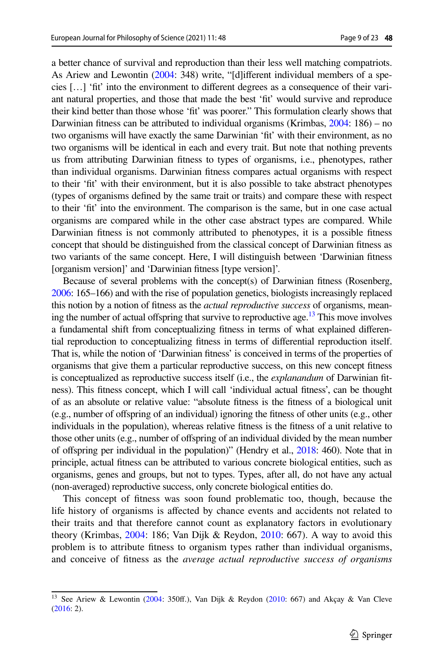a better chance of survival and reproduction than their less well matching compatriots. As Ariew and Lewontin [\(2004:](#page-19-19) 348) write, "[d]ifferent individual members of a species […] 'ft' into the environment to diferent degrees as a consequence of their variant natural properties, and those that made the best 'ft' would survive and reproduce their kind better than those whose 'ft' was poorer." This formulation clearly shows that Darwinian fitness can be attributed to individual organisms (Krimbas,  $2004:186$  $2004:186$ ) – no two organisms will have exactly the same Darwinian 'ft' with their environment, as no two organisms will be identical in each and every trait. But note that nothing prevents us from attributing Darwinian ftness to types of organisms, i.e., phenotypes, rather than individual organisms. Darwinian ftness compares actual organisms with respect to their 'ft' with their environment, but it is also possible to take abstract phenotypes (types of organisms defned by the same trait or traits) and compare these with respect to their 'ft' into the environment. The comparison is the same, but in one case actual organisms are compared while in the other case abstract types are compared. While Darwinian ftness is not commonly attributed to phenotypes, it is a possible ftness concept that should be distinguished from the classical concept of Darwinian ftness as two variants of the same concept. Here, I will distinguish between 'Darwinian ftness [organism version]' and 'Darwinian ftness [type version]'.

Because of several problems with the concept(s) of Darwinian ftness (Rosenberg, [2006](#page-21-22): 165–166) and with the rise of population genetics, biologists increasingly replaced this notion by a notion of ftness as the *actual reproductive success* of organisms, meaning the number of actual offspring that survive to reproductive age.<sup>13</sup> This move involves a fundamental shift from conceptualizing ftness in terms of what explained diferential reproduction to conceptualizing ftness in terms of diferential reproduction itself. That is, while the notion of 'Darwinian ftness' is conceived in terms of the properties of organisms that give them a particular reproductive success, on this new concept ftness is conceptualized as reproductive success itself (i.e., the *explanandum* of Darwinian ftness). This ftness concept, which I will call 'individual actual ftness', can be thought of as an absolute or relative value: "absolute ftness is the ftness of a biological unit (e.g., number of ofspring of an individual) ignoring the ftness of other units (e.g., other individuals in the population), whereas relative ftness is the ftness of a unit relative to those other units (e.g., number of ofspring of an individual divided by the mean number of ofspring per individual in the population)" (Hendry et al., [2018:](#page-20-22) 460). Note that in principle, actual ftness can be attributed to various concrete biological entities, such as organisms, genes and groups, but not to types. Types, after all, do not have any actual (non-averaged) reproductive success, only concrete biological entities do.

This concept of ftness was soon found problematic too, though, because the life history of organisms is afected by chance events and accidents not related to their traits and that therefore cannot count as explanatory factors in evolutionary theory (Krimbas, [2004:](#page-21-19) 186; Van Dijk & Reydon, [2010](#page-22-3): 667). A way to avoid this problem is to attribute ftness to organism types rather than individual organisms, and conceive of ftness as the *average actual reproductive success of organisms* 

<span id="page-8-0"></span><sup>&</sup>lt;sup>13</sup> See Ariew & Lewontin ([2004:](#page-19-19) 350ff.), Van Dijk & Reydon [\(2010](#page-22-3): 667) and Akçay & Van Cleve ([2016:](#page-19-27) 2).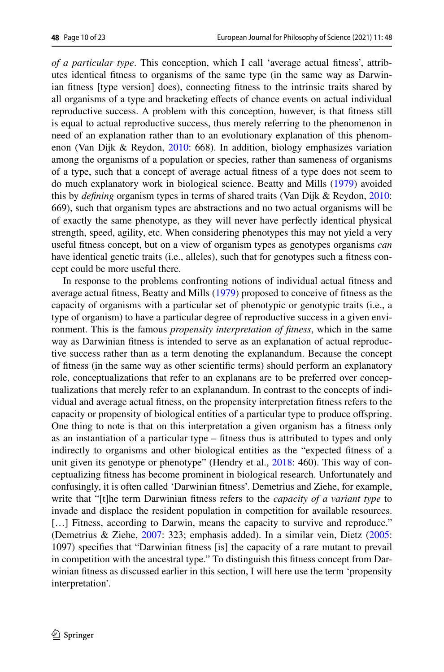*of a particular type*. This conception, which I call 'average actual ftness', attributes identical ftness to organisms of the same type (in the same way as Darwinian ftness [type version] does), connecting ftness to the intrinsic traits shared by all organisms of a type and bracketing efects of chance events on actual individual reproductive success. A problem with this conception, however, is that ftness still is equal to actual reproductive success, thus merely referring to the phenomenon in need of an explanation rather than to an evolutionary explanation of this phenomenon (Van Dijk & Reydon, [2010:](#page-22-3) 668). In addition, biology emphasizes variation among the organisms of a population or species, rather than sameness of organisms of a type, such that a concept of average actual ftness of a type does not seem to do much explanatory work in biological science. Beatty and Mills [\(1979](#page-19-18)) avoided this by *defning* organism types in terms of shared traits (Van Dijk & Reydon, [2010:](#page-22-3) 669), such that organism types are abstractions and no two actual organisms will be of exactly the same phenotype, as they will never have perfectly identical physical strength, speed, agility, etc. When considering phenotypes this may not yield a very useful ftness concept, but on a view of organism types as genotypes organisms *can* have identical genetic traits (i.e., alleles), such that for genotypes such a fitness concept could be more useful there.

In response to the problems confronting notions of individual actual ftness and average actual ftness, Beatty and Mills [\(1979](#page-19-18)) proposed to conceive of ftness as the capacity of organisms with a particular set of phenotypic or genotypic traits (i.e., a type of organism) to have a particular degree of reproductive success in a given environment. This is the famous *propensity interpretation of ftness*, which in the same way as Darwinian ftness is intended to serve as an explanation of actual reproductive success rather than as a term denoting the explanandum. Because the concept of ftness (in the same way as other scientifc terms) should perform an explanatory role, conceptualizations that refer to an explanans are to be preferred over conceptualizations that merely refer to an explanandum. In contrast to the concepts of individual and average actual ftness, on the propensity interpretation ftness refers to the capacity or propensity of biological entities of a particular type to produce ofspring. One thing to note is that on this interpretation a given organism has a ftness only as an instantiation of a particular type – ftness thus is attributed to types and only indirectly to organisms and other biological entities as the "expected ftness of a unit given its genotype or phenotype" (Hendry et al., [2018](#page-20-22): 460). This way of conceptualizing ftness has become prominent in biological research. Unfortunately and confusingly, it is often called 'Darwinian ftness'. Demetrius and Ziehe, for example, write that "[t]he term Darwinian ftness refers to the *capacity of a variant type* to invade and displace the resident population in competition for available resources. [...] Fitness, according to Darwin, means the capacity to survive and reproduce." (Demetrius & Ziehe, [2007](#page-19-26): 323; emphasis added). In a similar vein, Dietz ([2005:](#page-20-23) 1097) specifes that "Darwinian ftness [is] the capacity of a rare mutant to prevail in competition with the ancestral type." To distinguish this ftness concept from Darwinian ftness as discussed earlier in this section, I will here use the term 'propensity interpretation'.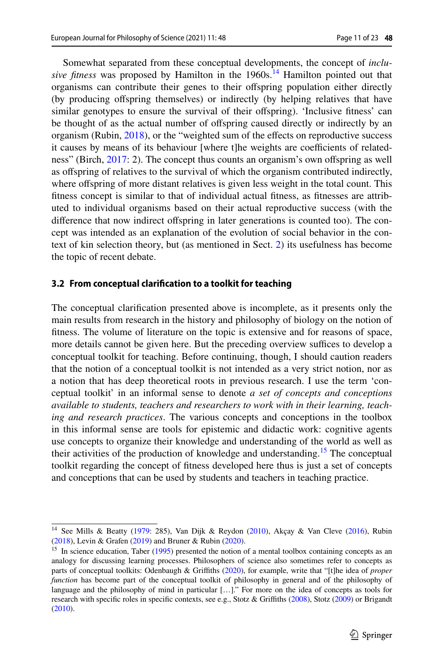Somewhat separated from these conceptual developments, the concept of *inclusive fitness* was proposed by Hamilton in the 1960s.<sup>14</sup> Hamilton pointed out that organisms can contribute their genes to their ofspring population either directly (by producing ofspring themselves) or indirectly (by helping relatives that have similar genotypes to ensure the survival of their offspring). 'Inclusive fitness' can be thought of as the actual number of ofspring caused directly or indirectly by an organism (Rubin, [2018\)](#page-22-13), or the "weighted sum of the efects on reproductive success it causes by means of its behaviour [where t]he weights are coefficients of relatedness" (Birch, [2017:](#page-19-23) 2). The concept thus counts an organism's own ofspring as well as offspring of relatives to the survival of which the organism contributed indirectly, where ofspring of more distant relatives is given less weight in the total count. This ftness concept is similar to that of individual actual ftness, as ftnesses are attributed to individual organisms based on their actual reproductive success (with the diference that now indirect ofspring in later generations is counted too). The concept was intended as an explanation of the evolution of social behavior in the context of kin selection theory, but (as mentioned in Sect. [2](#page-4-1)) its usefulness has become the topic of recent debate.

#### **3.2 From conceptual clarifcation to a toolkit for teaching**

The conceptual clarifcation presented above is incomplete, as it presents only the main results from research in the history and philosophy of biology on the notion of ftness. The volume of literature on the topic is extensive and for reasons of space, more details cannot be given here. But the preceding overview suffices to develop a conceptual toolkit for teaching. Before continuing, though, I should caution readers that the notion of a conceptual toolkit is not intended as a very strict notion, nor as a notion that has deep theoretical roots in previous research. I use the term 'conceptual toolkit' in an informal sense to denote *a set of concepts and conceptions available to students, teachers and researchers to work with in their learning, teaching and research practices*. The various concepts and conceptions in the toolbox in this informal sense are tools for epistemic and didactic work: cognitive agents use concepts to organize their knowledge and understanding of the world as well as their activities of the production of knowledge and understanding.<sup>15</sup> The conceptual toolkit regarding the concept of ftness developed here thus is just a set of concepts and conceptions that can be used by students and teachers in teaching practice.

<span id="page-10-0"></span><sup>&</sup>lt;sup>14</sup> See Mills & Beatty [\(1979](#page-19-18): 285), Van Dijk & Reydon [\(2010](#page-22-3)), Akçay & Van Cleve ([2016\)](#page-19-27), Rubin ([2018\)](#page-22-13), Levin & Grafen ([2019\)](#page-21-21) and Bruner & Rubin ([2020\)](#page-19-24).

<span id="page-10-1"></span><sup>&</sup>lt;sup>15</sup> In science education, Taber [\(1995](#page-22-16)) presented the notion of a mental toolbox containing concepts as an analogy for discussing learning processes. Philosophers of science also sometimes refer to concepts as parts of conceptual toolkits: Odenbaugh & Grifths ([2020](#page-21-23)), for example, write that "[t]he idea of *proper function* has become part of the conceptual toolkit of philosophy in general and of the philosophy of language and the philosophy of mind in particular […]." For more on the idea of concepts as tools for research with specific roles in specific contexts, see e.g., Stotz & Griffiths [\(2008](#page-22-17)), Stotz [\(2009](#page-22-18)) or Brigandt ([2010](#page-19-28)).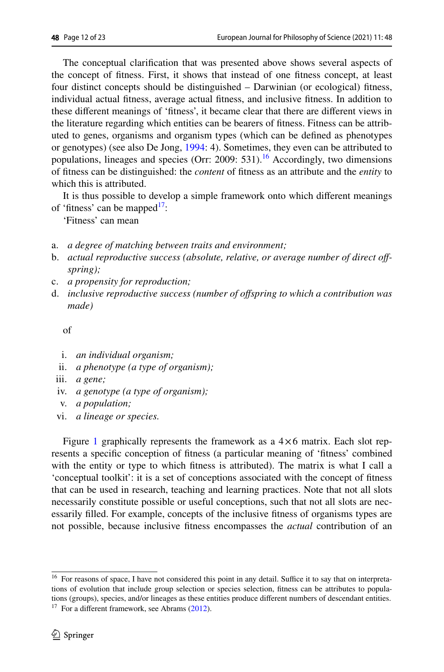The conceptual clarifcation that was presented above shows several aspects of the concept of ftness. First, it shows that instead of one ftness concept, at least four distinct concepts should be distinguished – Darwinian (or ecological) ftness, individual actual ftness, average actual ftness, and inclusive ftness. In addition to these diferent meanings of 'ftness', it became clear that there are diferent views in the literature regarding which entities can be bearers of ftness. Fitness can be attributed to genes, organisms and organism types (which can be defned as phenotypes or genotypes) (see also De Jong, [1994:](#page-19-25) 4). Sometimes, they even can be attributed to populations, lineages and species (Orr: 2009: 531).<sup>16</sup> Accordingly, two dimensions of ftness can be distinguished: the *content* of ftness as an attribute and the *entity* to which this is attributed.

It is thus possible to develop a simple framework onto which diferent meanings of 'fitness' can be mapped $1$ ':

'Fitness' can mean

- a. *a degree of matching between traits and environment;*
- b. *actual reproductive success (absolute, relative, or average number of direct offspring);*
- c. *a propensity for reproduction;*
- d. *inclusive reproductive success (number of ofspring to which a contribution was made)*

of

- i. *an individual organism;*
- ii. *a phenotype (a type of organism);*
- iii. *a gene;*
- iv. *a genotype (a type of organism);*
- v. *a population;*
- vi. *a lineage or species.*

Figure [1](#page-12-0) graphically represents the framework as a  $4\times6$  matrix. Each slot represents a specifc conception of ftness (a particular meaning of 'ftness' combined with the entity or type to which ftness is attributed). The matrix is what I call a 'conceptual toolkit': it is a set of conceptions associated with the concept of ftness that can be used in research, teaching and learning practices. Note that not all slots necessarily constitute possible or useful conceptions, such that not all slots are necessarily flled. For example, concepts of the inclusive ftness of organisms types are not possible, because inclusive ftness encompasses the *actual* contribution of an

<span id="page-11-1"></span><span id="page-11-0"></span><sup>&</sup>lt;sup>16</sup> For reasons of space, I have not considered this point in any detail. Suffice it to say that on interpretations of evolution that include group selection or species selection, ftness can be attributes to populations (groups), species, and/or lineages as these entities produce diferent numbers of descendant entities.  $17$  For a different framework, see Abrams [\(2012](#page-19-22)).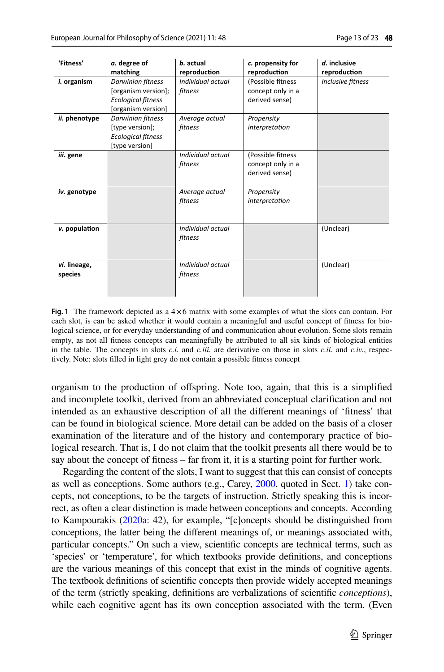| 'Fitness'               | a. degree of<br>matching                                                                    | b. actual<br>reproduction    | c. propensity for<br>reproduction                        | d. inclusive<br>reproduction |
|-------------------------|---------------------------------------------------------------------------------------------|------------------------------|----------------------------------------------------------|------------------------------|
| i. organism             | Darwinian fitness<br>[organism version];<br><b>Ecological fitness</b><br>[organism version] | Individual actual<br>fitness | (Possible fitness<br>concept only in a<br>derived sense) | Inclusive fitness            |
| ii. phenotype           | Darwinian fitness<br>[type version];<br><b>Ecological fitness</b><br>[type version]         | Average actual<br>fitness    | Propensity<br>interpretation                             |                              |
| iii. gene               |                                                                                             | Individual actual<br>fitness | (Possible fitness<br>concept only in a<br>derived sense) |                              |
| iv. genotype            |                                                                                             | Average actual<br>fitness    | Propensity<br>interpretation                             |                              |
| v. population           |                                                                                             | Individual actual<br>fitness |                                                          | (Unclear)                    |
| vi. lineage,<br>species |                                                                                             | Individual actual<br>fitness |                                                          | (Unclear)                    |

<span id="page-12-0"></span>**Fig.** 1 The framework depicted as a  $4\times6$  matrix with some examples of what the slots can contain. For each slot, is can be asked whether it would contain a meaningful and useful concept of ftness for biological science, or for everyday understanding of and communication about evolution. Some slots remain empty, as not all ftness concepts can meaningfully be attributed to all six kinds of biological entities in the table. The concepts in slots *c.i.* and *c.iii.* are derivative on those in slots *c.ii.* and *c.iv.*, respectively. Note: slots flled in light grey do not contain a possible ftness concept

organism to the production of ofspring. Note too, again, that this is a simplifed and incomplete toolkit, derived from an abbreviated conceptual clarifcation and not intended as an exhaustive description of all the diferent meanings of 'ftness' that can be found in biological science. More detail can be added on the basis of a closer examination of the literature and of the history and contemporary practice of biological research. That is, I do not claim that the toolkit presents all there would be to say about the concept of ftness – far from it, it is a starting point for further work.

Regarding the content of the slots, I want to suggest that this can consist of concepts as well as conceptions. Some authors (e.g., Carey, [2000,](#page-19-13) quoted in Sect. [1](#page-0-1)) take concepts, not conceptions, to be the targets of instruction. Strictly speaking this is incorrect, as often a clear distinction is made between conceptions and concepts. According to Kampourakis [\(2020a](#page-20-15): 42), for example, "[c]oncepts should be distinguished from conceptions, the latter being the diferent meanings of, or meanings associated with, particular concepts." On such a view, scientifc concepts are technical terms, such as 'species' or 'temperature', for which textbooks provide defnitions, and conceptions are the various meanings of this concept that exist in the minds of cognitive agents. The textbook defnitions of scientifc concepts then provide widely accepted meanings of the term (strictly speaking, defnitions are verbalizations of scientifc *conceptions*), while each cognitive agent has its own conception associated with the term. (Even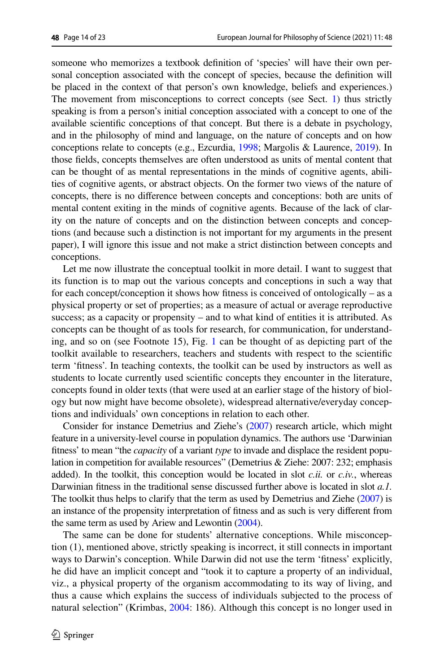someone who memorizes a textbook defnition of 'species' will have their own personal conception associated with the concept of species, because the defnition will be placed in the context of that person's own knowledge, beliefs and experiences.) The movement from misconceptions to correct concepts (see Sect. [1](#page-0-1)) thus strictly speaking is from a person's initial conception associated with a concept to one of the available scientifc conceptions of that concept. But there is a debate in psychology, and in the philosophy of mind and language, on the nature of concepts and on how conceptions relate to concepts (e.g., Ezcurdia, [1998;](#page-20-24) Margolis & Laurence, [2019](#page-21-24)). In those felds, concepts themselves are often understood as units of mental content that can be thought of as mental representations in the minds of cognitive agents, abilities of cognitive agents, or abstract objects. On the former two views of the nature of concepts, there is no diference between concepts and conceptions: both are units of mental content exiting in the minds of cognitive agents. Because of the lack of clarity on the nature of concepts and on the distinction between concepts and conceptions (and because such a distinction is not important for my arguments in the present paper), I will ignore this issue and not make a strict distinction between concepts and conceptions.

Let me now illustrate the conceptual toolkit in more detail. I want to suggest that its function is to map out the various concepts and conceptions in such a way that for each concept/conception it shows how ftness is conceived of ontologically – as a physical property or set of properties; as a measure of actual or average reproductive success; as a capacity or propensity – and to what kind of entities it is attributed. As concepts can be thought of as tools for research, for communication, for understanding, and so on (see Footnote 15), Fig. [1](#page-12-0) can be thought of as depicting part of the toolkit available to researchers, teachers and students with respect to the scientifc term 'ftness'. In teaching contexts, the toolkit can be used by instructors as well as students to locate currently used scientifc concepts they encounter in the literature, concepts found in older texts (that were used at an earlier stage of the history of biology but now might have become obsolete), widespread alternative/everyday conceptions and individuals' own conceptions in relation to each other.

Consider for instance Demetrius and Ziehe's [\(2007](#page-19-26)) research article, which might feature in a university-level course in population dynamics. The authors use 'Darwinian ftness' to mean "the *capacity* of a variant *type* to invade and displace the resident population in competition for available resources" (Demetrius & Ziehe: 2007: 232; emphasis added). In the toolkit, this conception would be located in slot  $c$ *.ii.* or  $c$ *.iv.*, whereas Darwinian ftness in the traditional sense discussed further above is located in slot *a.1.* The toolkit thus helps to clarify that the term as used by Demetrius and Ziehe ([2007](#page-19-26)) is an instance of the propensity interpretation of ftness and as such is very diferent from the same term as used by Ariew and Lewontin [\(2004\)](#page-19-19).

The same can be done for students' alternative conceptions. While misconception (1), mentioned above, strictly speaking is incorrect, it still connects in important ways to Darwin's conception. While Darwin did not use the term 'ftness' explicitly, he did have an implicit concept and "took it to capture a property of an individual, viz., a physical property of the organism accommodating to its way of living, and thus a cause which explains the success of individuals subjected to the process of natural selection" (Krimbas, [2004:](#page-21-19) 186). Although this concept is no longer used in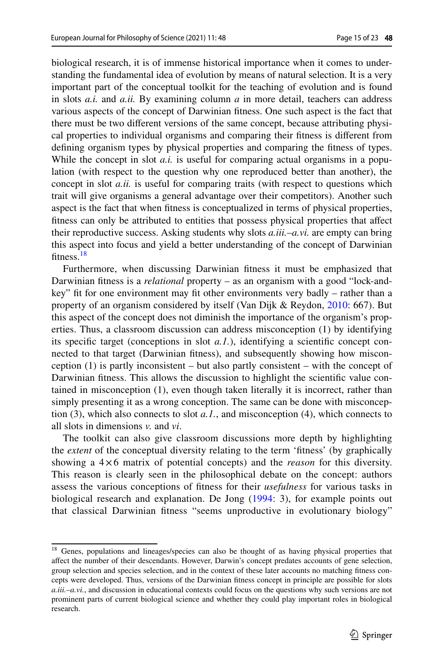biological research, it is of immense historical importance when it comes to understanding the fundamental idea of evolution by means of natural selection. It is a very important part of the conceptual toolkit for the teaching of evolution and is found in slots *a.i.* and *a.ii.* By examining column *a* in more detail, teachers can address various aspects of the concept of Darwinian ftness. One such aspect is the fact that there must be two diferent versions of the same concept, because attributing physical properties to individual organisms and comparing their ftness is diferent from defning organism types by physical properties and comparing the ftness of types. While the concept in slot  $a.i.$  is useful for comparing actual organisms in a population (with respect to the question why one reproduced better than another), the concept in slot *a.ii.* is useful for comparing traits (with respect to questions which trait will give organisms a general advantage over their competitors). Another such aspect is the fact that when ftness is conceptualized in terms of physical properties, ftness can only be attributed to entities that possess physical properties that afect their reproductive success. Asking students why slots *a.iii.*–*a.vi.* are empty can bring this aspect into focus and yield a better understanding of the concept of Darwinian fitness.<sup>18</sup>

Furthermore, when discussing Darwinian ftness it must be emphasized that Darwinian ftness is a *relational* property – as an organism with a good "lock-andkey" ft for one environment may ft other environments very badly – rather than a property of an organism considered by itself (Van Dijk & Reydon, [2010](#page-22-3): 667). But this aspect of the concept does not diminish the importance of the organism's properties. Thus, a classroom discussion can address misconception (1) by identifying its specifc target (conceptions in slot *a.1.*), identifying a scientifc concept connected to that target (Darwinian ftness), and subsequently showing how misconception (1) is partly inconsistent – but also partly consistent – with the concept of Darwinian ftness. This allows the discussion to highlight the scientifc value contained in misconception (1), even though taken literally it is incorrect, rather than simply presenting it as a wrong conception. The same can be done with misconception (3), which also connects to slot *a.1.*, and misconception (4), which connects to all slots in dimensions *v.* and *vi*.

The toolkit can also give classroom discussions more depth by highlighting the *extent* of the conceptual diversity relating to the term 'ftness' (by graphically showing a 4×6 matrix of potential concepts) and the *reason* for this diversity. This reason is clearly seen in the philosophical debate on the concept: authors assess the various conceptions of ftness for their *usefulness* for various tasks in biological research and explanation. De Jong ([1994](#page-19-25): 3), for example points out that classical Darwinian ftness "seems unproductive in evolutionary biology"

<span id="page-14-0"></span><sup>&</sup>lt;sup>18</sup> Genes, populations and lineages/species can also be thought of as having physical properties that afect the number of their descendants. However, Darwin's concept predates accounts of gene selection, group selection and species selection, and in the context of these later accounts no matching ftness concepts were developed. Thus, versions of the Darwinian ftness concept in principle are possible for slots *a.iii.*–*a.vi.*, and discussion in educational contexts could focus on the questions why such versions are not prominent parts of current biological science and whether they could play important roles in biological research.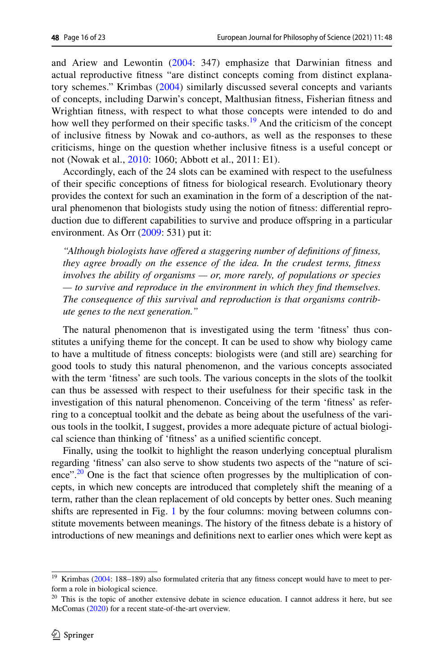and Ariew and Lewontin [\(2004:](#page-19-19) 347) emphasize that Darwinian ftness and actual reproductive ftness "are distinct concepts coming from distinct explanatory schemes." Krimbas ([2004](#page-21-19)) similarly discussed several concepts and variants of concepts, including Darwin's concept, Malthusian ftness, Fisherian ftness and Wrightian ftness, with respect to what those concepts were intended to do and how well they performed on their specific tasks.<sup>[19](#page-15-0)</sup> And the criticism of the concept of inclusive ftness by Nowak and co-authors, as well as the responses to these criticisms, hinge on the question whether inclusive ftness is a useful concept or not (Nowak et al., [2010:](#page-21-17) 1060; Abbott et al., 2011: E1).

Accordingly, each of the 24 slots can be examined with respect to the usefulness of their specifc conceptions of ftness for biological research. Evolutionary theory provides the context for such an examination in the form of a description of the natural phenomenon that biologists study using the notion of ftness: diferential reproduction due to diferent capabilities to survive and produce ofspring in a particular environment. As Orr ([2009:](#page-21-20) 531) put it:

*"Although biologists have ofered a staggering number of defnitions of ftness, they agree broadly on the essence of the idea. In the crudest terms, ftness involves the ability of organisms — or, more rarely, of populations or species — to survive and reproduce in the environment in which they fnd themselves. The consequence of this survival and reproduction is that organisms contribute genes to the next generation."*

The natural phenomenon that is investigated using the term 'fitness' thus constitutes a unifying theme for the concept. It can be used to show why biology came to have a multitude of ftness concepts: biologists were (and still are) searching for good tools to study this natural phenomenon, and the various concepts associated with the term 'ftness' are such tools. The various concepts in the slots of the toolkit can thus be assessed with respect to their usefulness for their specifc task in the investigation of this natural phenomenon. Conceiving of the term 'ftness' as referring to a conceptual toolkit and the debate as being about the usefulness of the various tools in the toolkit, I suggest, provides a more adequate picture of actual biological science than thinking of 'ftness' as a unifed scientifc concept.

Finally, using the toolkit to highlight the reason underlying conceptual pluralism regarding 'ftness' can also serve to show students two aspects of the "nature of science". $20$  One is the fact that science often progresses by the multiplication of concepts, in which new concepts are introduced that completely shift the meaning of a term, rather than the clean replacement of old concepts by better ones. Such meaning shifts are represented in Fig. [1](#page-12-0) by the four columns: moving between columns constitute movements between meanings. The history of the ftness debate is a history of introductions of new meanings and defnitions next to earlier ones which were kept as

<span id="page-15-0"></span><sup>&</sup>lt;sup>19</sup> Krimbas [\(2004](#page-21-19): 188-189) also formulated criteria that any fitness concept would have to meet to perform a role in biological science.

<span id="page-15-1"></span> $20$  This is the topic of another extensive debate in science education. I cannot address it here, but see McComas ([2020\)](#page-21-25) for a recent state-of-the-art overview.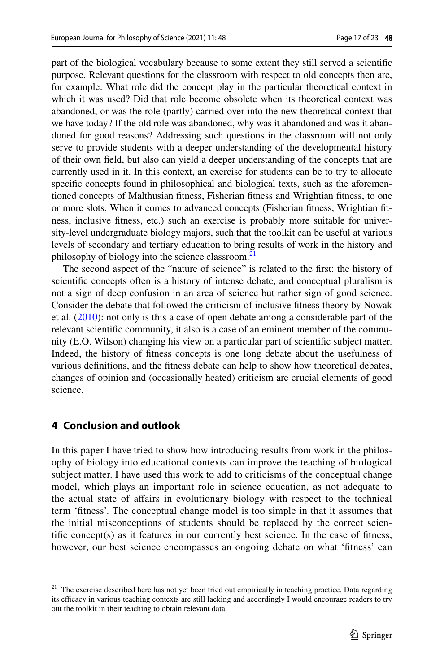part of the biological vocabulary because to some extent they still served a scientifc purpose. Relevant questions for the classroom with respect to old concepts then are, for example: What role did the concept play in the particular theoretical context in which it was used? Did that role become obsolete when its theoretical context was abandoned, or was the role (partly) carried over into the new theoretical context that we have today? If the old role was abandoned, why was it abandoned and was it abandoned for good reasons? Addressing such questions in the classroom will not only serve to provide students with a deeper understanding of the developmental history of their own feld, but also can yield a deeper understanding of the concepts that are currently used in it. In this context, an exercise for students can be to try to allocate specifc concepts found in philosophical and biological texts, such as the aforementioned concepts of Malthusian ftness, Fisherian ftness and Wrightian ftness, to one or more slots. When it comes to advanced concepts (Fisherian ftness, Wrightian ftness, inclusive ftness, etc.) such an exercise is probably more suitable for university-level undergraduate biology majors, such that the toolkit can be useful at various levels of secondary and tertiary education to bring results of work in the history and philosophy of biology into the science classroom.<sup>21</sup>

The second aspect of the "nature of science" is related to the frst: the history of scientifc concepts often is a history of intense debate, and conceptual pluralism is not a sign of deep confusion in an area of science but rather sign of good science. Consider the debate that followed the criticism of inclusive ftness theory by Nowak et al.  $(2010)$  $(2010)$ : not only is this a case of open debate among a considerable part of the relevant scientifc community, it also is a case of an eminent member of the community (E.O. Wilson) changing his view on a particular part of scientifc subject matter. Indeed, the history of ftness concepts is one long debate about the usefulness of various defnitions, and the ftness debate can help to show how theoretical debates, changes of opinion and (occasionally heated) criticism are crucial elements of good science.

## **4 Conclusion and outlook**

In this paper I have tried to show how introducing results from work in the philosophy of biology into educational contexts can improve the teaching of biological subject matter. I have used this work to add to criticisms of the conceptual change model, which plays an important role in science education, as not adequate to the actual state of afairs in evolutionary biology with respect to the technical term 'ftness'. The conceptual change model is too simple in that it assumes that the initial misconceptions of students should be replaced by the correct scientifc concept(s) as it features in our currently best science. In the case of ftness, however, our best science encompasses an ongoing debate on what 'ftness' can

<span id="page-16-0"></span><sup>&</sup>lt;sup>21</sup> The exercise described here has not yet been tried out empirically in teaching practice. Data regarding its efficacy in various teaching contexts are still lacking and accordingly I would encourage readers to try out the toolkit in their teaching to obtain relevant data.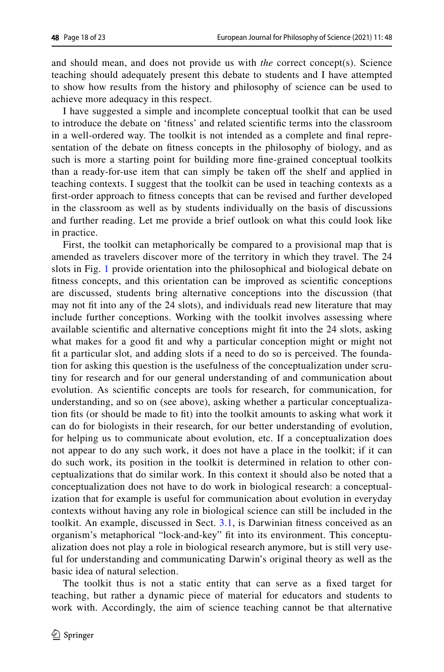and should mean, and does not provide us with *the* correct concept(s). Science teaching should adequately present this debate to students and I have attempted to show how results from the history and philosophy of science can be used to achieve more adequacy in this respect.

I have suggested a simple and incomplete conceptual toolkit that can be used to introduce the debate on 'ftness' and related scientifc terms into the classroom in a well-ordered way. The toolkit is not intended as a complete and fnal representation of the debate on ftness concepts in the philosophy of biology, and as such is more a starting point for building more fne-grained conceptual toolkits than a ready-for-use item that can simply be taken off the shelf and applied in teaching contexts. I suggest that the toolkit can be used in teaching contexts as a frst-order approach to ftness concepts that can be revised and further developed in the classroom as well as by students individually on the basis of discussions and further reading. Let me provide a brief outlook on what this could look like in practice.

First, the toolkit can metaphorically be compared to a provisional map that is amended as travelers discover more of the territory in which they travel. The 24 slots in Fig. [1](#page-12-0) provide orientation into the philosophical and biological debate on ftness concepts, and this orientation can be improved as scientifc conceptions are discussed, students bring alternative conceptions into the discussion (that may not ft into any of the 24 slots), and individuals read new literature that may include further conceptions. Working with the toolkit involves assessing where available scientifc and alternative conceptions might ft into the 24 slots, asking what makes for a good fit and why a particular conception might or might not ft a particular slot, and adding slots if a need to do so is perceived. The foundation for asking this question is the usefulness of the conceptualization under scrutiny for research and for our general understanding of and communication about evolution. As scientifc concepts are tools for research, for communication, for understanding, and so on (see above), asking whether a particular conceptualization fts (or should be made to ft) into the toolkit amounts to asking what work it can do for biologists in their research, for our better understanding of evolution, for helping us to communicate about evolution, etc. If a conceptualization does not appear to do any such work, it does not have a place in the toolkit; if it can do such work, its position in the toolkit is determined in relation to other conceptualizations that do similar work. In this context it should also be noted that a conceptualization does not have to do work in biological research: a conceptualization that for example is useful for communication about evolution in everyday contexts without having any role in biological science can still be included in the toolkit. An example, discussed in Sect. [3.1](#page-7-0), is Darwinian ftness conceived as an organism's metaphorical "lock-and-key" ft into its environment. This conceptualization does not play a role in biological research anymore, but is still very useful for understanding and communicating Darwin's original theory as well as the basic idea of natural selection.

The toolkit thus is not a static entity that can serve as a fxed target for teaching, but rather a dynamic piece of material for educators and students to work with. Accordingly, the aim of science teaching cannot be that alternative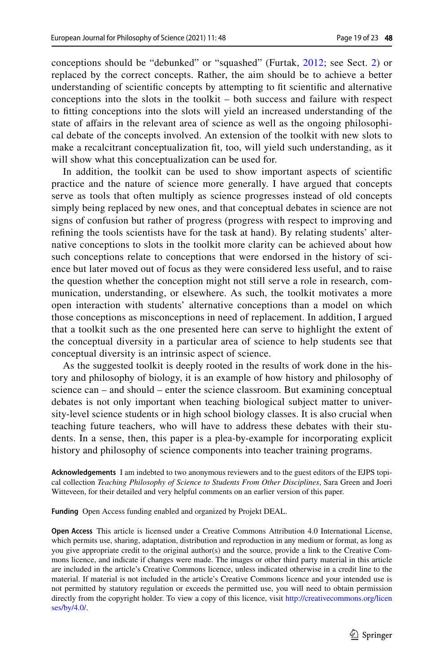conceptions should be "debunked" or "squashed" (Furtak, [2012;](#page-20-13) see Sect. [2\)](#page-4-1) or replaced by the correct concepts. Rather, the aim should be to achieve a better understanding of scientifc concepts by attempting to ft scientifc and alternative conceptions into the slots in the toolkit – both success and failure with respect to ftting conceptions into the slots will yield an increased understanding of the state of afairs in the relevant area of science as well as the ongoing philosophical debate of the concepts involved. An extension of the toolkit with new slots to make a recalcitrant conceptualization ft, too, will yield such understanding, as it will show what this conceptualization can be used for.

In addition, the toolkit can be used to show important aspects of scientifc practice and the nature of science more generally. I have argued that concepts serve as tools that often multiply as science progresses instead of old concepts simply being replaced by new ones, and that conceptual debates in science are not signs of confusion but rather of progress (progress with respect to improving and refning the tools scientists have for the task at hand). By relating students' alternative conceptions to slots in the toolkit more clarity can be achieved about how such conceptions relate to conceptions that were endorsed in the history of science but later moved out of focus as they were considered less useful, and to raise the question whether the conception might not still serve a role in research, communication, understanding, or elsewhere. As such, the toolkit motivates a more open interaction with students' alternative conceptions than a model on which those conceptions as misconceptions in need of replacement. In addition, I argued that a toolkit such as the one presented here can serve to highlight the extent of the conceptual diversity in a particular area of science to help students see that conceptual diversity is an intrinsic aspect of science.

As the suggested toolkit is deeply rooted in the results of work done in the history and philosophy of biology, it is an example of how history and philosophy of science can – and should – enter the science classroom. But examining conceptual debates is not only important when teaching biological subject matter to university-level science students or in high school biology classes. It is also crucial when teaching future teachers, who will have to address these debates with their students. In a sense, then, this paper is a plea-by-example for incorporating explicit history and philosophy of science components into teacher training programs.

**Acknowledgements** I am indebted to two anonymous reviewers and to the guest editors of the EJPS topical collection *Teaching Philosophy of Science to Students From Other Disciplines*, Sara Green and Joeri Witteveen, for their detailed and very helpful comments on an earlier version of this paper.

**Funding** Open Access funding enabled and organized by Projekt DEAL.

**Open Access** This article is licensed under a Creative Commons Attribution 4.0 International License, which permits use, sharing, adaptation, distribution and reproduction in any medium or format, as long as you give appropriate credit to the original author(s) and the source, provide a link to the Creative Commons licence, and indicate if changes were made. The images or other third party material in this article are included in the article's Creative Commons licence, unless indicated otherwise in a credit line to the material. If material is not included in the article's Creative Commons licence and your intended use is not permitted by statutory regulation or exceeds the permitted use, you will need to obtain permission directly from the copyright holder. To view a copy of this licence, visit [http://creativecommons.org/licen](http://creativecommons.org/licenses/by/4.0/) [ses/by/4.0/](http://creativecommons.org/licenses/by/4.0/).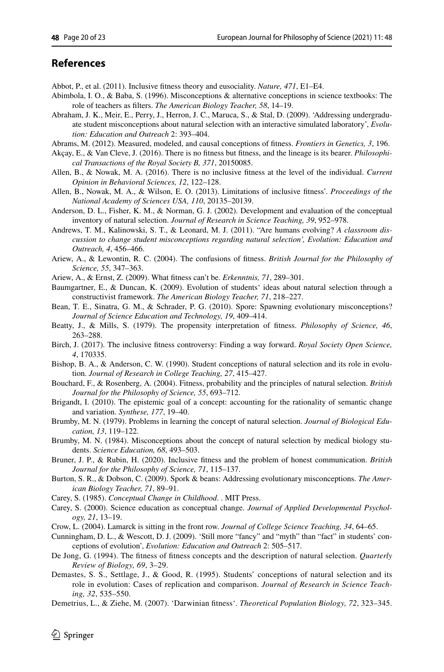### **References**

<span id="page-19-17"></span>Abbot, P., et al. (2011). Inclusive ftness theory and eusociality. *Nature, 471*, E1–E4.

- <span id="page-19-7"></span>Abimbola, I. O., & Baba, S. (1996). Misconceptions & alternative conceptions in science textbooks: The role of teachers as flters. *The American Biology Teacher, 58*, 14–19.
- <span id="page-19-8"></span>Abraham, J. K., Meir, E., Perry, J., Herron, J. C., Maruca, S., & Stal, D. (2009). 'Addressing undergraduate student misconceptions about natural selection with an interactive simulated laboratory', *Evolution: Education and Outreach* 2: 393–404.
- <span id="page-19-22"></span>Abrams, M. (2012). Measured, modeled, and causal conceptions of ftness. *Frontiers in Genetics, 3*, 196.
- <span id="page-19-27"></span>Akçay, E., & Van Cleve, J. (2016). There is no ftness but ftness, and the lineage is its bearer. *Philosophical Transactions of the Royal Society B, 371*, 20150085.
- <span id="page-19-15"></span>Allen, B., & Nowak, M. A. (2016). There is no inclusive ftness at the level of the individual. *Current Opinion in Behavioral Sciences, 12*, 122–128.
- <span id="page-19-16"></span>Allen, B., Nowak, M. A., & Wilson, E. O. (2013). Limitations of inclusive ftness'. *Proceedings of the National Academy of Sciences USA, 110*, 20135–20139.
- <span id="page-19-2"></span>Anderson, D. L., Fisher, K. M., & Norman, G. J. (2002). Development and evaluation of the conceptual inventory of natural selection. *Journal of Research in Science Teaching, 39*, 952–978.
- <span id="page-19-12"></span>Andrews, T. M., Kalinowski, S. T., & Leonard, M. J. (2011). "Are humans evolving? *A classroom discussion to change student misconceptions regarding natural selection', Evolution: Education and Outreach, 4*, 456–466.
- <span id="page-19-19"></span>Ariew, A., & Lewontin, R. C. (2004). The confusions of ftness. *British Journal for the Philosophy of Science, 55*, 347–363.
- <span id="page-19-21"></span>Ariew, A., & Ernst, Z. (2009). What ftness can't be. *Erkenntnis, 71*, 289–301.
- <span id="page-19-9"></span>Baumgartner, E., & Duncan, K. (2009). Evolution of students' ideas about natural selection through a constructivist framework. *The American Biology Teacher, 71*, 218–227.
- <span id="page-19-11"></span>Bean, T. E., Sinatra, G. M., & Schrader, P. G. (2010). Spore: Spawning evolutionary misconceptions? *Journal of Science Education and Technology, 19*, 409–414.
- <span id="page-19-18"></span>Beatty, J., & Mills, S. (1979). The propensity interpretation of ftness. *Philosophy of Science, 46*, 263–288.
- <span id="page-19-23"></span>Birch, J. (2017). The inclusive ftness controversy: Finding a way forward. *Royal Society Open Science, 4*, 170335.
- <span id="page-19-5"></span>Bishop, B. A., & Anderson, C. W. (1990). Student conceptions of natural selection and its role in evolution. *Journal of Research in College Teaching, 27*, 415–427.
- <span id="page-19-20"></span>Bouchard, F., & Rosenberg, A. (2004). Fitness, probability and the principles of natural selection. *British Journal for the Philosophy of Science, 55*, 693–712.
- <span id="page-19-28"></span>Brigandt, I. (2010). The epistemic goal of a concept: accounting for the rationality of semantic change and variation. *Synthese, 177*, 19–40.
- <span id="page-19-3"></span>Brumby, M. N. (1979). Problems in learning the concept of natural selection. *Journal of Biological Education, 13*, 119–122.
- <span id="page-19-4"></span>Brumby, M. N. (1984). Misconceptions about the concept of natural selection by medical biology students. *Science Education, 68*, 493–503.
- <span id="page-19-24"></span>Bruner, J. P., & Rubin, H. (2020). Inclusive ftness and the problem of honest communication. *British Journal for the Philosophy of Science, 71*, 115–137.
- <span id="page-19-10"></span>Burton, S. R., & Dobson, C. (2009). Spork & beans: Addressing evolutionary misconceptions. *The American Biology Teacher, 71*, 89–91.
- <span id="page-19-0"></span>Carey, S. (1985). *Conceptual Change in Childhood*. . MIT Press.
- <span id="page-19-13"></span>Carey, S. (2000). Science education as conceptual change. *Journal of Applied Developmental Psychology, 21*, 13–19.
- <span id="page-19-14"></span>Crow, L. (2004). Lamarck is sitting in the front row. *Journal of College Science Teaching, 34*, 64–65.
- <span id="page-19-1"></span>Cunningham, D. L., & Wescott, D. J. (2009). 'Still more "fancy" and "myth" than "fact" in students' conceptions of evolution', *Evolution: Education and Outreach* 2: 505–517.
- <span id="page-19-25"></span>De Jong, G. (1994). The ftness of ftness concepts and the description of natural selection. *Quarterly Review of Biology, 69*, 3–29.
- <span id="page-19-6"></span>Demastes, S. S., Settlage, J., & Good, R. (1995). Students' conceptions of natural selection and its role in evolution: Cases of replication and comparison. *Journal of Research in Science Teaching, 32*, 535–550.
- <span id="page-19-26"></span>Demetrius, L., & Ziehe, M. (2007). 'Darwinian ftness'. *Theoretical Population Biology, 72*, 323–345.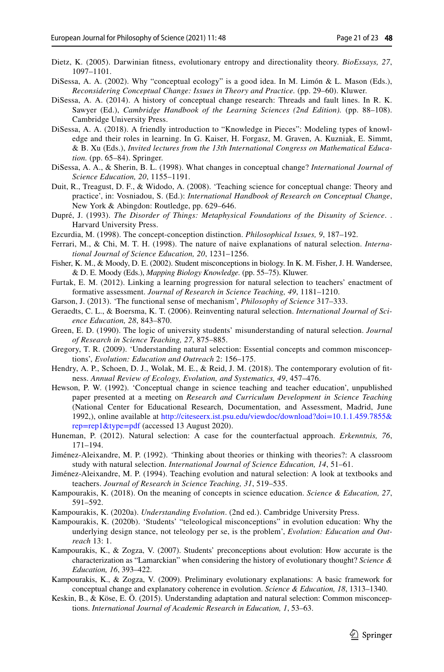- <span id="page-20-23"></span>Dietz, K. (2005). Darwinian ftness, evolutionary entropy and directionality theory. *BioEssays, 27*, 1097–1101.
- <span id="page-20-3"></span>DiSessa, A. A. (2002). Why "conceptual ecology" is a good idea. In M. Limón & L. Mason (Eds.), *Reconsidering Conceptual Change: Issues in Theory and Practice.* (pp. 29–60). Kluwer.
- <span id="page-20-2"></span>DiSessa, A. A. (2014). A history of conceptual change research: Threads and fault lines. In R. K. Sawyer (Ed.), *Cambridge Handbook of the Learning Sciences (2nd Edition).* (pp. 88–108). Cambridge University Press.
- <span id="page-20-4"></span>DiSessa, A. A. (2018). A friendly introduction to "Knowledge in Pieces": Modeling types of knowledge and their roles in learning. In G. Kaiser, H. Forgasz, M. Graven, A. Kuzniak, E. Simmt, & B. Xu (Eds.), *Invited lectures from the 13th International Congress on Mathematical Education.* (pp. 65–84). Springer.
- <span id="page-20-5"></span>DiSessa, A. A., & Sherin, B. L. (1998). What changes in conceptual change? *International Journal of Science Education, 20*, 1155–1191.
- <span id="page-20-1"></span>Duit, R., Treagust, D. F., & Widodo, A. (2008). 'Teaching science for conceptual change: Theory and practice', in: Vosniadou, S. (Ed.): *International Handbook of Research on Conceptual Change*, New York & Abingdon: Routledge, pp. 629–646.
- <span id="page-20-20"></span>Dupré, J. (1993). *The Disorder of Things: Metaphysical Foundations of the Disunity of Science*. . Harvard University Press.
- <span id="page-20-24"></span>Ezcurdia, M. (1998). The concept-conception distinction. *Philosophical Issues, 9*, 187–192.
- <span id="page-20-8"></span>Ferrari, M., & Chi, M. T. H. (1998). The nature of naive explanations of natural selection. *International Journal of Science Education, 20*, 1231–1256.
- <span id="page-20-9"></span>Fisher, K. M., & Moody, D. E. (2002). Student misconceptions in biology. In K. M. Fisher, J. H. Wandersee, & D. E. Moody (Eds.), *Mapping Biology Knowledge.* (pp. 55–75). Kluwer.
- <span id="page-20-13"></span>Furtak, E. M. (2012). Linking a learning progression for natural selection to teachers' enactment of formative assessment. *Journal of Research in Science Teaching, 49*, 1181–1210.
- <span id="page-20-17"></span>Garson, J. (2013). 'The functional sense of mechanism', *Philosophy of Science* 317–333.
- <span id="page-20-6"></span>Geraedts, C. L., & Boersma, K. T. (2006). Reinventing natural selection. *International Journal of Science Education, 28*, 843–870.
- <span id="page-20-7"></span>Green, E. D. (1990). The logic of university students' misunderstanding of natural selection. *Journal of Research in Science Teaching, 27*, 875–885.
- <span id="page-20-12"></span>Gregory, T. R. (2009). 'Understanding natural selection: Essential concepts and common misconceptions', *Evolution: Education and Outreach* 2: 156–175.
- <span id="page-20-22"></span>Hendry, A. P., Schoen, D. J., Wolak, M. E., & Reid, J. M. (2018). The contemporary evolution of ftness. *Annual Review of Ecology, Evolution, and Systematics, 49*, 457–476.
- <span id="page-20-0"></span>Hewson, P. W. (1992). 'Conceptual change in science teaching and teacher education', unpublished paper presented at a meeting on *Research and Curriculum Development in Science Teaching* (National Center for Educational Research, Documentation, and Assessment, Madrid, June 1992,), online available at [http://citeseerx.ist.psu.edu/viewdoc/download?doi=10.1.1.459.7855&](http://citeseerx.ist.psu.edu/viewdoc/download?doi=10.1.1.459.7855&rep=rep1&type=pdf) [rep=rep1&type=pdf](http://citeseerx.ist.psu.edu/viewdoc/download?doi=10.1.1.459.7855&rep=rep1&type=pdf) (accessed 13 August 2020).
- <span id="page-20-18"></span>Huneman, P. (2012). Natural selection: A case for the counterfactual approach. *Erkenntnis, 76*, 171–194.
- <span id="page-20-19"></span>Jiménez-Aleixandre, M. P. (1992). 'Thinking about theories or thinking with theories?: A classroom study with natural selection. *International Journal of Science Education, 14*, 51–61.
- Jiménez-Aleixandre, M. P. (1994). Teaching evolution and natural selection: A look at textbooks and teachers. *Journal of Research in Science Teaching, 31*, 519–535.
- <span id="page-20-21"></span>Kampourakis, K. (2018). On the meaning of concepts in science education. *Science & Education, 27*, 591–592.
- <span id="page-20-15"></span>Kampourakis, K. (2020a). *Understanding Evolution*. (2nd ed.). Cambridge University Press.
- <span id="page-20-16"></span>Kampourakis, K. (2020b). 'Students' "teleological misconceptions" in evolution education: Why the underlying design stance, not teleology per se, is the problem', *Evolution: Education and Outreach* 13: 1.
- <span id="page-20-10"></span>Kampourakis, K., & Zogza, V. (2007). Students' preconceptions about evolution: How accurate is the characterization as "Lamarckian" when considering the history of evolutionary thought? *Science & Education, 16*, 393–422.
- <span id="page-20-11"></span>Kampourakis, K., & Zogza, V. (2009). Preliminary evolutionary explanations: A basic framework for conceptual change and explanatory coherence in evolution. *Science & Education, 18*, 1313–1340.
- <span id="page-20-14"></span>Keskin, B., & Köse, E. Ö. (2015). Understanding adaptation and natural selection: Common misconceptions. *International Journal of Academic Research in Education, 1*, 53–63.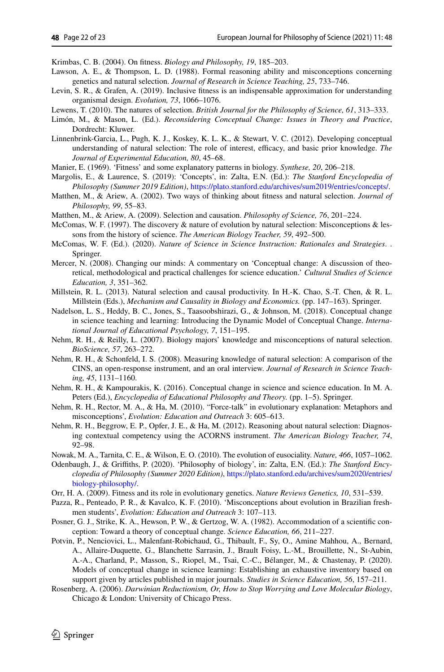<span id="page-21-19"></span>Krimbas, C. B. (2004). On ftness. *Biology and Philosophy, 19*, 185–203.

- <span id="page-21-4"></span>Lawson, A. E., & Thompson, L. D. (1988). Formal reasoning ability and misconceptions concerning genetics and natural selection. *Journal of Research in Science Teaching, 25*, 733–746.
- <span id="page-21-21"></span>Levin, S. R., & Grafen, A. (2019). Inclusive ftness is an indispensable approximation for understanding organismal design. *Evolution, 73*, 1066–1076.
- <span id="page-21-16"></span>Lewens, T. (2010). The natures of selection. *British Journal for the Philosophy of Science, 61*, 313–333.
- Limón, M., & Mason, L. (Ed.). *Reconsidering Conceptual Change: Issues in Theory and Practice*, Dordrecht: Kluwer.
- <span id="page-21-11"></span>Linnenbrink-Garcia, L., Pugh, K. J., Koskey, K. L. K., & Stewart, V. C. (2012). Developing conceptual understanding of natural selection: The role of interest, efficacy, and basic prior knowledge. The *Journal of Experimental Education, 80*, 45–68.
- <span id="page-21-18"></span>Manier, E. (1969). 'Fitness' and some explanatory patterns in biology. *Synthese, 20*, 206–218.
- <span id="page-21-24"></span>Margolis, E., & Laurence, S. (2019): 'Concepts', in: Zalta, E.N. (Ed.): *The Stanford Encyclopedia of Philosophy (Summer 2019 Edition)*, [https://plato.stanford.edu/archives/sum2019/entries/concepts/.](https://plato.stanford.edu/archives/sum2019/entries/concepts/)
- <span id="page-21-14"></span>Matthen, M., & Ariew, A. (2002). Two ways of thinking about ftness and natural selection. *Journal of Philosophy, 99*, 55–83.
- <span id="page-21-15"></span>Matthen, M., & Ariew, A. (2009). Selection and causation. *Philosophy of Science, 76*, 201–224.
- <span id="page-21-5"></span>McComas, W. F. (1997). The discovery & nature of evolution by natural selection: Misconceptions & lessons from the history of science. *The American Biology Teacher, 59*, 492–500.
- <span id="page-21-25"></span>McComas, W. F. (Ed.). (2020). *Nature of Science in Science Instruction: Rationales and Strategies*. . Springer.
- <span id="page-21-12"></span>Mercer, N. (2008). Changing our minds: A commentary on 'Conceptual change: A discussion of theoretical, methodological and practical challenges for science education.' *Cultural Studies of Science Education, 3*, 351–362.
- <span id="page-21-13"></span>Millstein, R. L. (2013). Natural selection and causal productivity. In H.-K. Chao, S.-T. Chen, & R. L. Millstein (Eds.), *Mechanism and Causality in Biology and Economics.* (pp. 147–163). Springer.
- <span id="page-21-3"></span>Nadelson, L. S., Heddy, B. C., Jones, S., Taasoobshirazi, G., & Johnson, M. (2018). Conceptual change in science teaching and learning: Introducing the Dynamic Model of Conceptual Change. *International Journal of Educational Psychology, 7*, 151–195.
- <span id="page-21-6"></span>Nehm, R. H., & Reilly, L. (2007). Biology majors' knowledge and misconceptions of natural selection. *BioScience, 57*, 263–272.
- <span id="page-21-7"></span>Nehm, R. H., & Schonfeld, I. S. (2008). Measuring knowledge of natural selection: A comparison of the CINS, an open-response instrument, and an oral interview. *Journal of Research in Science Teaching, 45*, 1131–1160.
- <span id="page-21-1"></span>Nehm, R. H., & Kampourakis, K. (2016). Conceptual change in science and science education. In M. A. Peters (Ed.), *Encyclopedia of Educational Philosophy and Theory.* (pp. 1–5). Springer.
- <span id="page-21-9"></span>Nehm, R. H., Rector, M. A., & Ha, M. (2010). "Force-talk" in evolutionary explanation: Metaphors and misconceptions', *Evolution: Education and Outreach* 3: 605–613.
- <span id="page-21-10"></span>Nehm, R. H., Beggrow, E. P., Opfer, J. E., & Ha, M. (2012). Reasoning about natural selection: Diagnosing contextual competency using the ACORNS instrument. *The American Biology Teacher, 74*, 92–98.
- <span id="page-21-17"></span>Nowak, M. A., Tarnita, C. E., & Wilson, E. O. (2010). The evolution of eusociality. *Nature, 466*, 1057–1062.
- <span id="page-21-23"></span>Odenbaugh, J., & Grifths, P. (2020). 'Philosophy of biology', in: Zalta, E.N. (Ed.): *The Stanford Encyclopedia of Philosophy (Summer 2020 Edition)*, [https://plato.stanford.edu/archives/sum2020/entries/](https://plato.stanford.edu/archives/sum2020/entries/biology-philosophy/) [biology-philosophy/](https://plato.stanford.edu/archives/sum2020/entries/biology-philosophy/).
- <span id="page-21-20"></span>Orr, H. A. (2009). Fitness and its role in evolutionary genetics. *Nature Reviews Genetics, 10*, 531–539.
- <span id="page-21-8"></span>Pazza, R., Penteado, P. R., & Kavalco, K. F. (2010). 'Misconceptions about evolution in Brazilian freshmen students', *Evolution: Education and Outreach* 3: 107–113.
- <span id="page-21-0"></span>Posner, G. J., Strike, K. A., Hewson, P. W., & Gertzog, W. A. (1982). Accommodation of a scientific conception: Toward a theory of conceptual change. *Science Education, 66*, 211–227.
- <span id="page-21-2"></span>Potvin, P., Nenciovici, L., Malenfant-Robichaud, G., Thibault, F., Sy, O., Amine Mahhou, A., Bernard, A., Allaire-Duquette, G., Blanchette Sarrasin, J., Brault Foisy, L.-M., Brouillette, N., St-Aubin, A.-A., Charland, P., Masson, S., Riopel, M., Tsai, C.-C., Bélanger, M., & Chastenay, P. (2020). Models of conceptual change in science learning: Establishing an exhaustive inventory based on support given by articles published in major journals. *Studies in Science Education, 56*, 157–211.
- <span id="page-21-22"></span>Rosenberg, A. (2006). *Darwinian Reductionism, Or, How to Stop Worrying and Love Molecular Biology*, Chicago & London: University of Chicago Press.